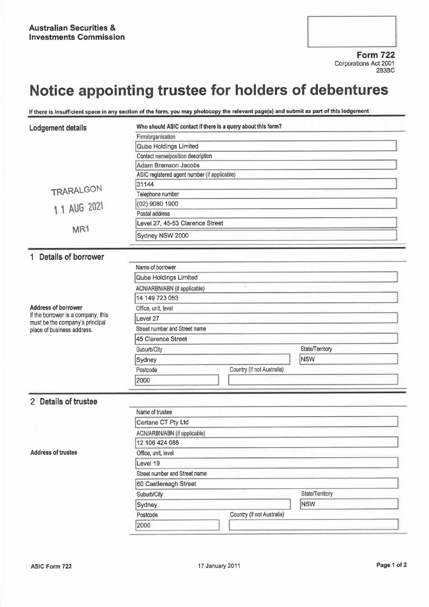Form 722 Corporations Act 2001 283BC

## Notice appointing trustee for holders of debentures

If there is insufficient space in any section of the form, you may photocopy the relevant page(s) and submit as part of this lodgement

| Lodgement details                                                                                   | Who should ASIC contact if there is a query about this form? |                            |                               |  |
|-----------------------------------------------------------------------------------------------------|--------------------------------------------------------------|----------------------------|-------------------------------|--|
|                                                                                                     | Firm/organisation                                            |                            |                               |  |
|                                                                                                     | Qube Holdings Limited                                        |                            |                               |  |
|                                                                                                     | Contact name/position description                            |                            |                               |  |
|                                                                                                     | Adam Bramson Jacobs                                          |                            |                               |  |
|                                                                                                     | ASIC registered agent number (if applicable)                 |                            |                               |  |
|                                                                                                     | 31144                                                        |                            |                               |  |
| TRARALGON                                                                                           | Telephone number                                             |                            |                               |  |
| 1 1 AUG 2021                                                                                        | (02) 9080 1900                                               |                            |                               |  |
|                                                                                                     | Postal address                                               |                            |                               |  |
| MR <sub>1</sub>                                                                                     | Level 27, 45-53 Clarence Street                              |                            |                               |  |
|                                                                                                     | Sydney NSW 2000                                              |                            |                               |  |
| 1 Details of borrower                                                                               |                                                              |                            |                               |  |
| <b>Address of borrower</b><br>If the borrower is a company, this<br>must be the company's principal | Name of borrower                                             |                            |                               |  |
|                                                                                                     | Qube Holdings Limited                                        |                            |                               |  |
|                                                                                                     | ACN/ARBN/ABN (if applicable)                                 |                            |                               |  |
|                                                                                                     | 14 149 723 053                                               |                            |                               |  |
|                                                                                                     | Office, unit, level                                          |                            |                               |  |
|                                                                                                     | Level 27                                                     |                            |                               |  |
|                                                                                                     | Street number and Street name                                |                            |                               |  |
| place of business address.                                                                          | 45 Clarence Street                                           |                            |                               |  |
|                                                                                                     |                                                              |                            |                               |  |
|                                                                                                     | Suburb/City                                                  |                            | State/Territory<br><b>NSW</b> |  |
|                                                                                                     | Sydney                                                       |                            |                               |  |
|                                                                                                     | Postcode                                                     | Country (if not Australia) |                               |  |
|                                                                                                     | 2000                                                         |                            |                               |  |
| 2 Details of trustee                                                                                |                                                              |                            |                               |  |
|                                                                                                     | Name of trustee                                              |                            |                               |  |
|                                                                                                     | Certane CT Pty Ltd                                           |                            |                               |  |
|                                                                                                     | ACN/ARBN/ABN (if applicable)                                 |                            |                               |  |
|                                                                                                     | 12 106 424 088                                               |                            |                               |  |
| <b>Address of trustee</b>                                                                           | Office, unit, level                                          |                            |                               |  |
|                                                                                                     | Level 19                                                     |                            |                               |  |
|                                                                                                     | Street number and Street name                                |                            |                               |  |
|                                                                                                     | 60 Castlereagh Street                                        |                            |                               |  |
|                                                                                                     | State/Territory<br>Suburb/City                               |                            |                               |  |
|                                                                                                     |                                                              |                            | <b>NSW</b>                    |  |
|                                                                                                     | Sydney<br>Country (if not Australia)<br>Postcode             |                            |                               |  |
|                                                                                                     | 2000                                                         |                            |                               |  |
|                                                                                                     |                                                              |                            |                               |  |